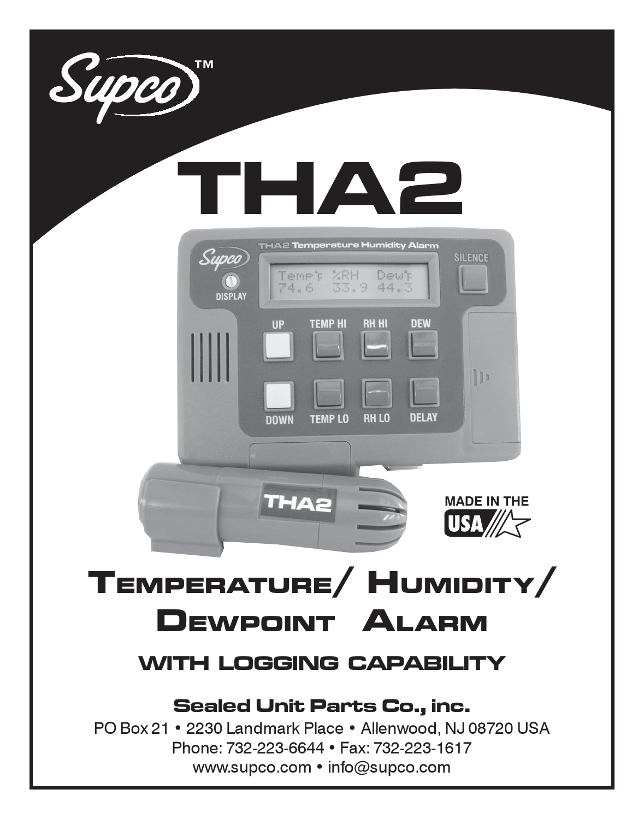

# TEMPERATURE/ HUMIDITY/ DEWPOINT ALARM

#### WITH LOGGING CAPABILITY

#### Sealed Unit Parts Co., inc.

PO Box 21 • 2230 Landmark Place • Allenwood, NJ 08720 USA Phone: 732-223-6644 • Fax: 732-223-1617 www.supco.com • info@supco.com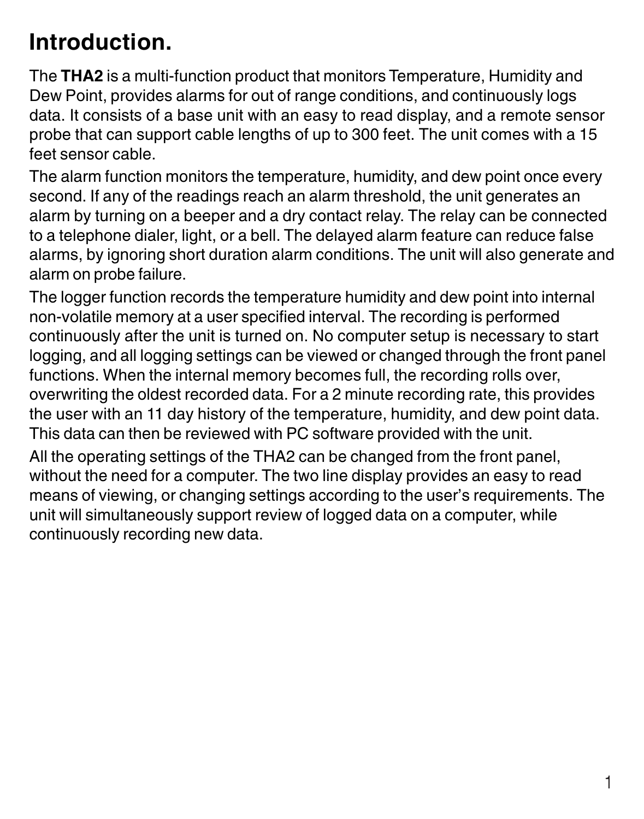## **Introduction.**

The **THA2** is a multi-function product that monitors Temperature, Humidity and Dew Point, provides alarms for out of range conditions, and continuously logs data. It consists of a base unit with an easy to read display, and a remote sensor probe that can support cable lengths of up to 300 feet. The unit comes with a 15 feet sensor cable.

The alarm function monitors the temperature, humidity, and dew point once every second. If any of the readings reach an alarm threshold, the unit generates an alarm by turning on a beeper and a dry contact relay. The relay can be connected to a telephone dialer, light, or a bell. The delayed alarm feature can reduce false alarms, by ignoring short duration alarm conditions. The unit will also generate and alarm on probe failure.

The logger function records the temperature humidity and dew point into internal non-volatile memory at a user specified interval. The recording is performed continuously after the unit is turned on. No computer setup is necessary to start logging, and all logging settings can be viewed or changed through the front panel functions. When the internal memory becomes full, the recording rolls over, overwriting the oldest recorded data. For a 2 minute recording rate, this provides the user with an 11 day history of the temperature, humidity, and dew point data. This data can then be reviewed with PC software provided with the unit.

All the operating settings of the THA2 can be changed from the front panel, without the need for a computer. The two line display provides an easy to read means of viewing, or changing settings according to the user's requirements. The unit will simultaneously support review of logged data on a computer, while continuously recording new data.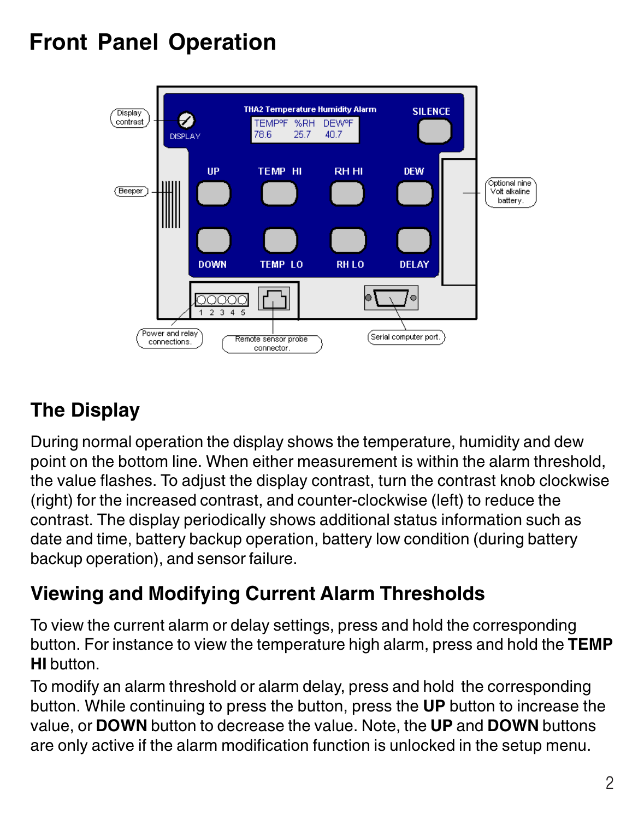## **Front Panel Operation**



### **The Display**

During normal operation the display shows the temperature, humidity and dew point on the bottom line. When either measurement is within the alarm threshold, the value flashes. To adjust the display contrast, turn the contrast knob clockwise (right) for the increased contrast, and counter-clockwise (left) to reduce the contrast. The display periodically shows additional status information such as date and time, battery backup operation, battery low condition (during battery backup operation), and sensor failure.

#### **Viewing and Modifying Current Alarm Thresholds**

To view the current alarm or delay settings, press and hold the corresponding button. For instance to view the temperature high alarm, press and hold the **TEMP HI** button.

To modify an alarm threshold or alarm delay, press and hold the corresponding button. While continuing to press the button, press the **UP** button to increase the value, or **DOWN** button to decrease the value. Note, the **UP** and **DOWN** buttons are only active if the alarm modification function is unlocked in the setup menu.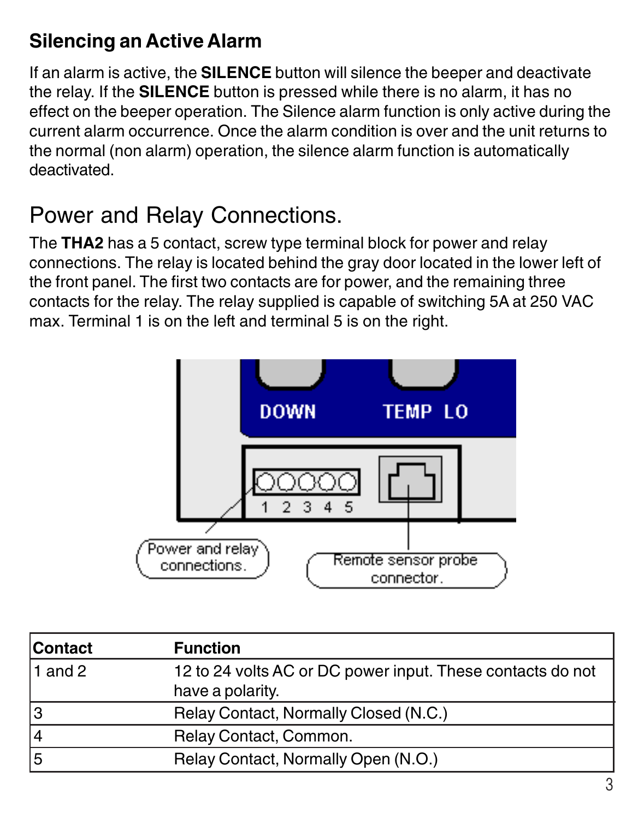### **Silencing an Active Alarm**

If an alarm is active, the **SILENCE** button will silence the beeper and deactivate the relay. If the **SILENCE** button is pressed while there is no alarm, it has no effect on the beeper operation. The Silence alarm function is only active during the current alarm occurrence. Once the alarm condition is over and the unit returns to the normal (non alarm) operation, the silence alarm function is automatically deactivated.

## Power and Relay Connections.

The **THA2** has a 5 contact, screw type terminal block for power and relay connections. The relay is located behind the gray door located in the lower left of the front panel. The first two contacts are for power, and the remaining three contacts for the relay. The relay supplied is capable of switching 5A at 250 VAC max. Terminal 1 is on the left and terminal 5 is on the right.



| <b>Contact</b> | <b>Function</b>                                                                |
|----------------|--------------------------------------------------------------------------------|
| $1$ and 2      | 12 to 24 volts AC or DC power input. These contacts do not<br>have a polarity. |
| 3              | Relay Contact, Normally Closed (N.C.)                                          |
| 14             | Relay Contact, Common.                                                         |
| 15             | Relay Contact, Normally Open (N.O.)                                            |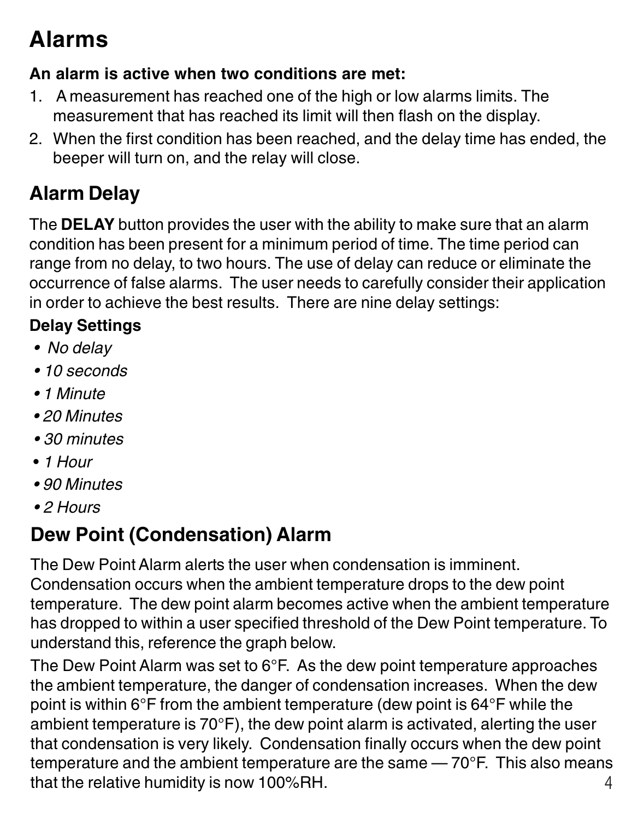## **Alarms**

#### **An alarm is active when two conditions are met:**

- 1. A measurement has reached one of the high or low alarms limits. The measurement that has reached its limit will then flash on the display.
- 2. When the first condition has been reached, and the delay time has ended, the beeper will turn on, and the relay will close.

## **Alarm Delay**

The **DELAY** button provides the user with the ability to make sure that an alarm condition has been present for a minimum period of time. The time period can range from no delay, to two hours. The use of delay can reduce or eliminate the occurrence of false alarms. The user needs to carefully consider their application in order to achieve the best results. There are nine delay settings:

#### **Delay Settings**

- No delay
- 10 seconds
- 1 Minute
- 20 Minutes
- 30 minutes
- 1 Hour
- 90 Minutes
- 2 Hours

### **Dew Point (Condensation) Alarm**

The Dew Point Alarm alerts the user when condensation is imminent. Condensation occurs when the ambient temperature drops to the dew point temperature. The dew point alarm becomes active when the ambient temperature has dropped to within a user specified threshold of the Dew Point temperature. To understand this, reference the graph below.

The Dew Point Alarm was set to 6°F. As the dew point temperature approaches the ambient temperature, the danger of condensation increases. When the dew point is within 6°F from the ambient temperature (dew point is 64°F while the ambient temperature is 70°F), the dew point alarm is activated, alerting the user that condensation is very likely. Condensation finally occurs when the dew point temperature and the ambient temperature are the same — 70°F. This also means that the relative humidity is now 100%RH.  $4\overline{4}$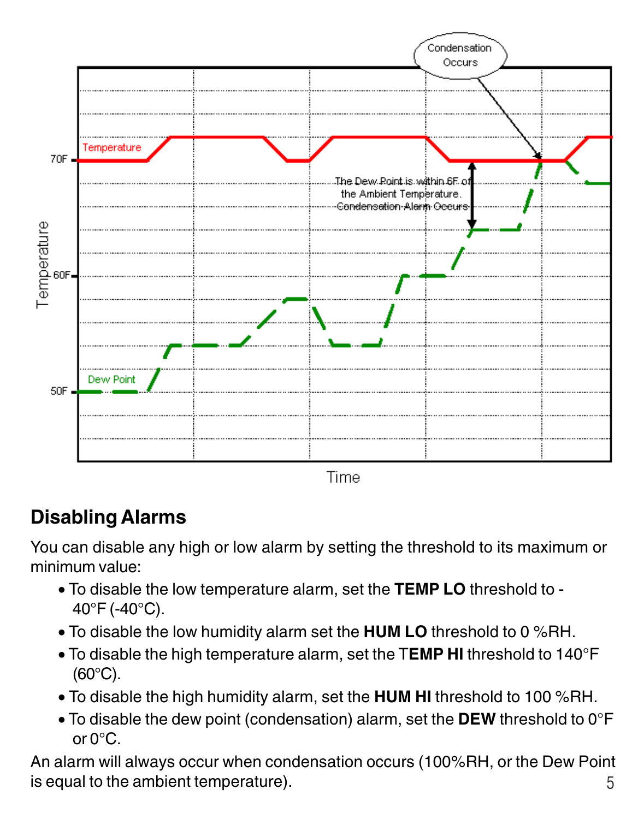

Time

### **Disabling Alarms**

You can disable any high or low alarm by setting the threshold to its maximum or minimum value:

- To disable the low temperature alarm, set the **TEMP LO** threshold to 40°F (-40°C).
- To disable the low humidity alarm set the **HUM LO** threshold to 0 %RH.
- To disable the high temperature alarm, set the T**EMP HI** threshold to 140°F  $(60^{\circ}C)$ .
- To disable the high humidity alarm, set the **HUM HI** threshold to 100 %RH.
- To disable the dew point (condensation) alarm, set the **DEW** threshold to 0°F or 0°C.

An alarm will always occur when condensation occurs (100%RH, or the Dew Point is equal to the ambient temperature). 5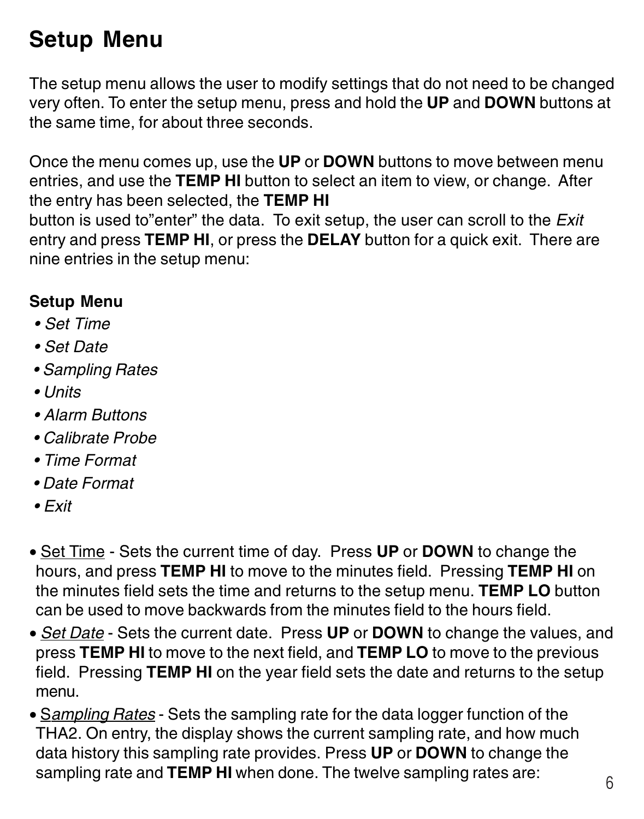## **Setup Menu**

The setup menu allows the user to modify settings that do not need to be changed very often. To enter the setup menu, press and hold the **UP** and **DOWN** buttons at the same time, for about three seconds.

Once the menu comes up, use the **UP** or **DOWN** buttons to move between menu entries, and use the **TEMP HI** button to select an item to view, or change. After the entry has been selected, the **TEMP HI**

button is used to"enter" the data. To exit setup, the user can scroll to the Exit entry and press **TEMP HI**, or press the **DELAY** button for a quick exit. There are nine entries in the setup menu:

#### **Setup Menu**

- Set Time
- Set Date
- Sampling Rates
- Units
- Alarm Buttons
- Calibrate Probe
- Time Format
- Date Format
- Exit
- Set Time Sets the current time of day. Press **UP** or **DOWN** to change the hours, and press **TEMP HI** to move to the minutes field. Pressing **TEMP HI** on the minutes field sets the time and returns to the setup menu. **TEMP LO** button can be used to move backwards from the minutes field to the hours field.
- Set Date Sets the current date. Press **UP** or **DOWN** to change the values, and press **TEMP HI** to move to the next field, and **TEMP LO** to move to the previous field. Pressing **TEMP HI** on the year field sets the date and returns to the setup menu.
- Sampling Rates Sets the sampling rate for the data logger function of the THA2. On entry, the display shows the current sampling rate, and how much data history this sampling rate provides. Press **UP** or **DOWN** to change the sampling rate and **TEMP HI** when done. The twelve sampling rates are: <sup>6</sup>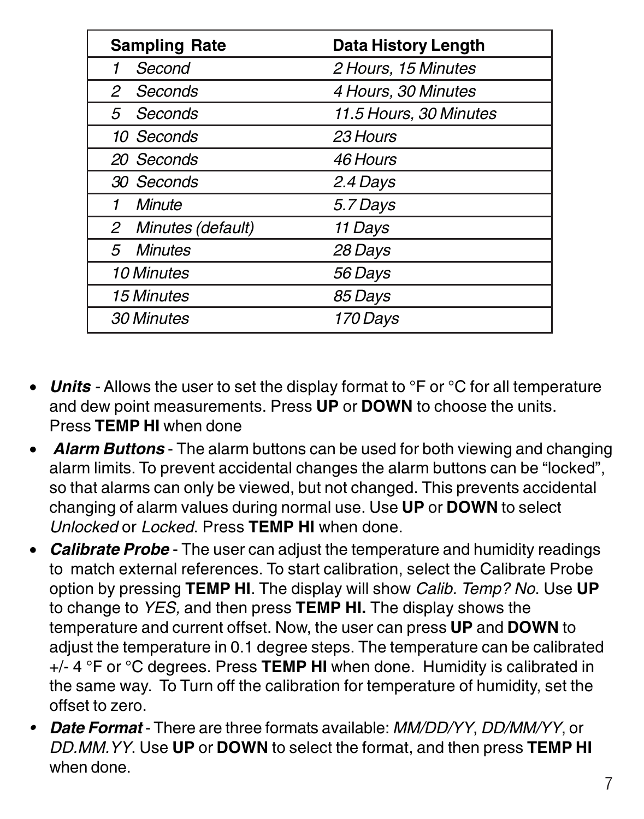| <b>Sampling Rate</b>               | <b>Data History Length</b> |
|------------------------------------|----------------------------|
| Second                             | 2 Hours, 15 Minutes        |
| 2<br>Seconds                       | 4 Hours, 30 Minutes        |
| 5<br>Seconds                       | 11.5 Hours, 30 Minutes     |
| 10 Seconds                         | 23 Hours                   |
| 20 Seconds                         | 46 Hours                   |
| 30 Seconds                         | 2.4 Days                   |
| Minute<br>1                        | 5.7 Days                   |
| Minutes (default)<br>$\mathcal{L}$ | 11 Days                    |
| 5 Minutes                          | <i>28 Days</i>             |
| 10 Minutes                         | 56 Days                    |
| 15 Minutes                         | 85 Days                    |
| 30 Minutes                         | 170 Days                   |

- **Units**  Allows the user to set the display format to °F or °C for all temperature and dew point measurements. Press **UP** or **DOWN** to choose the units. Press **TEMP HI** when done
- • **Alarm Buttons** The alarm buttons can be used for both viewing and changing alarm limits. To prevent accidental changes the alarm buttons can be "locked", so that alarms can only be viewed, but not changed. This prevents accidental changing of alarm values during normal use. Use **UP** or **DOWN** to select Unlocked or Locked. Press **TEMP HI** when done.
- **Calibrate Probe** The user can adjust the temperature and humidity readings to match external references. To start calibration, select the Calibrate Probe option by pressing **TEMP HI**. The display will show Calib. Temp? No. Use **UP** to change to YES, and then press **TEMP HI.** The display shows the temperature and current offset. Now, the user can press **UP** and **DOWN** to adjust the temperature in 0.1 degree steps. The temperature can be calibrated +/- 4 °F or °C degrees. Press **TEMP HI** when done. Humidity is calibrated in the same way. To Turn off the calibration for temperature of humidity, set the offset to zero.
- **Date Format** There are three formats available: MM/DD/YY, DD/MM/YY, or DD.MM.YY. Use **UP** or **DOWN** to select the format, and then press **TEMP HI** when done.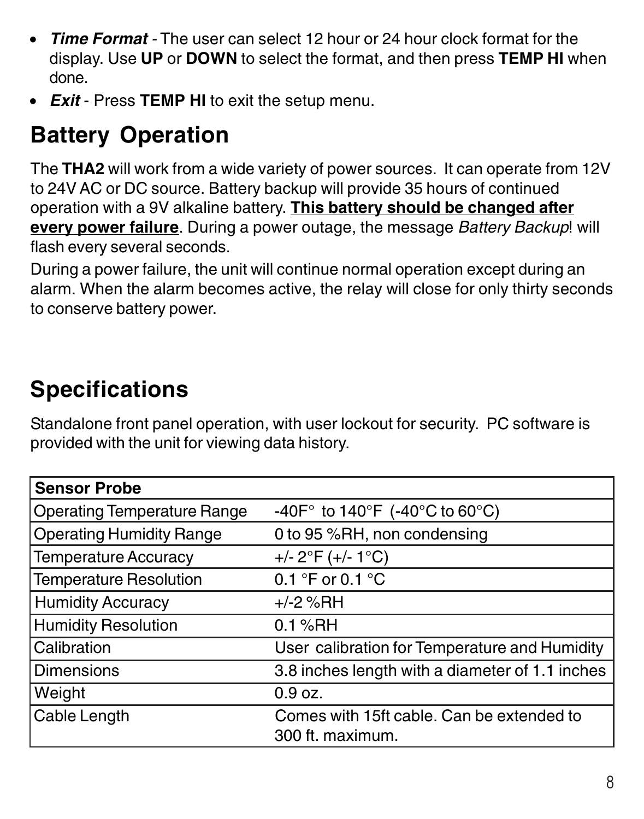- **Time Format** The user can select 12 hour or 24 hour clock format for the display. Use **UP** or **DOWN** to select the format, and then press **TEMP HI** when done.
- **Exit** Press **TEMP HI** to exit the setup menu.

## **Battery Operation**

The **THA2** will work from a wide variety of power sources. It can operate from 12V to 24V AC or DC source. Battery backup will provide 35 hours of continued operation with a 9V alkaline battery. **This battery should be changed after every power failure**. During a power outage, the message Battery Backup! will flash every several seconds.

During a power failure, the unit will continue normal operation except during an alarm. When the alarm becomes active, the relay will close for only thirty seconds to conserve battery power.

## **Specifications**

Standalone front panel operation, with user lockout for security. PC software is provided with the unit for viewing data history.

| <b>Sensor Probe</b>                |                                                 |
|------------------------------------|-------------------------------------------------|
| <b>Operating Temperature Range</b> | -40F° to 140°F (-40°C to 60°C)                  |
| Operating Humidity Range           | 0 to 95 %RH, non condensing                     |
| Temperature Accuracy               | +/- $2^{\circ}F$ (+/- 1 $^{\circ}C$ )           |
| Temperature Resolution             | 0.1 °F or 0.1 °C                                |
| Humidity Accuracy                  | $+/-2$ %RH                                      |
| Humidity Resolution                | $0.1%$ RH                                       |
| Calibration                        | User calibration for Temperature and Humidity   |
| l Dimensions                       | 3.8 inches length with a diameter of 1.1 inches |
| Weight                             | 0.9 oz.                                         |
| Cable Length                       | Comes with 15ft cable. Can be extended to       |
|                                    | 300 ft. maximum.                                |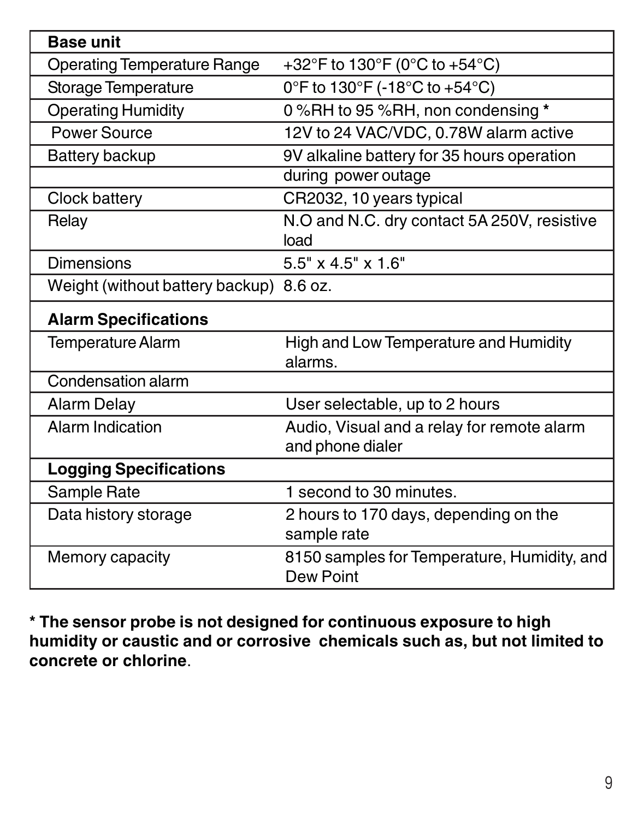| <b>Base unit</b>                        |                                                                |  |
|-----------------------------------------|----------------------------------------------------------------|--|
| <b>Operating Temperature Range</b>      | +32°F to 130°F (0°C to +54°C)                                  |  |
| Storage Temperature                     | 0°F to 130°F (-18°C to +54°C)                                  |  |
| <b>Operating Humidity</b>               | 0 %RH to 95 %RH, non condensing *                              |  |
| Power Source                            | 12V to 24 VAC/VDC, 0.78W alarm active                          |  |
| Battery backup                          | 9V alkaline battery for 35 hours operation                     |  |
|                                         | during power outage                                            |  |
| Clock battery                           | CR2032, 10 years typical                                       |  |
| Relay                                   | N.O and N.C. dry contact 5A 250V, resistive                    |  |
|                                         | load                                                           |  |
| <b>Dimensions</b>                       | 5.5" x 4.5" x 1.6"                                             |  |
| Weight (without battery backup) 8.6 oz. |                                                                |  |
| <b>Alarm Specifications</b>             |                                                                |  |
| Temperature Alarm                       | High and Low Temperature and Humidity                          |  |
|                                         | alarms.                                                        |  |
| Condensation alarm                      |                                                                |  |
| <b>Alarm Delay</b>                      | User selectable, up to 2 hours                                 |  |
| Alarm Indication                        | Audio, Visual and a relay for remote alarm<br>and phone dialer |  |
| <b>Logging Specifications</b>           |                                                                |  |
| Sample Rate                             | 1 second to 30 minutes.                                        |  |
| Data history storage                    | 2 hours to 170 days, depending on the                          |  |
|                                         | sample rate                                                    |  |
| Memory capacity                         | 8150 samples for Temperature, Humidity, and<br>Dew Point       |  |

**\* The sensor probe is not designed for continuous exposure to high humidity or caustic and or corrosive chemicals such as, but not limited to concrete or chlorine**.